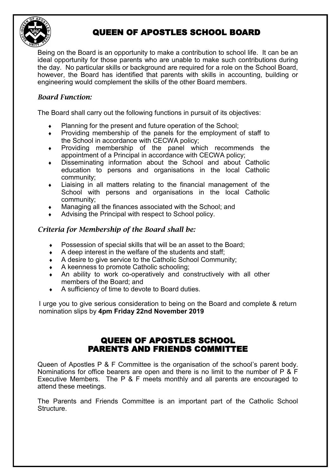

# QUEEN OF APOSTLES SCHOOL BOARD

Being on the Board is an opportunity to make a contribution to school life. It can be an ideal opportunity for those parents who are unable to make such contributions during the day. No particular skills or background are required for a role on the School Board, however, the Board has identified that parents with skills in accounting, building or engineering would complement the skills of the other Board members.

### *Board Function:*

The Board shall carry out the following functions in pursuit of its objectives:

- Planning for the present and future operation of the School;
- Providing membership of the panels for the employment of staff to the School in accordance with CECWA policy;
- Providing membership of the panel which recommends the appointment of a Principal in accordance with CECWA policy;
- Disseminating information about the School and about Catholic education to persons and organisations in the local Catholic community;
- Liaising in all matters relating to the financial management of the School with persons and organisations in the local Catholic community;
- Managing all the finances associated with the School; and
- Advising the Principal with respect to School policy.

#### *Criteria for Membership of the Board shall be:*

- Possession of special skills that will be an asset to the Board;
- $\bullet$  A deep interest in the welfare of the students and staff;
- A desire to give service to the Catholic School Community;
- A keenness to promote Catholic schooling;
- An ability to work co-operatively and constructively with all other members of the Board; and
- A sufficiency of time to devote to Board duties.

I urge you to give serious consideration to being on the Board and complete & return nomination slips by **4pm Friday 22nd November 2019**

## QUEEN OF APOSTLES SCHOOL PARENTS AND FRIENDS COMMITTEE

Queen of Apostles P & F Committee is the organisation of the school's parent body. Nominations for office bearers are open and there is no limit to the number of P & F Executive Members. The P & F meets monthly and all parents are encouraged to attend these meetings.

The Parents and Friends Committee is an important part of the Catholic School Structure.